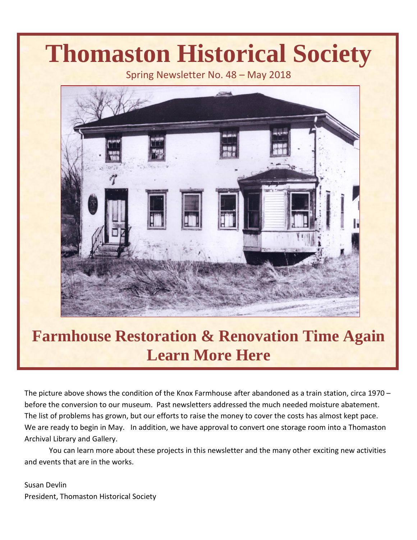# **Thomaston Historical Society**

Spring Newsletter No. 48 – May 2018



## **Farmhouse Restoration & Renovation Time Again Learn More Here**

The picture above shows the condition of the Knox Farmhouse after abandoned as a train station, circa 1970 – before the conversion to our museum. Past newsletters addressed the much needed moisture abatement. The list of problems has grown, but our efforts to raise the money to cover the costs has almost kept pace. We are ready to begin in May. In addition, we have approval to convert one storage room into a Thomaston Archival Library and Gallery.

You can learn more about these projects in this newsletter and the many other exciting new activities and events that are in the works.

Susan Devlin President, Thomaston Historical Society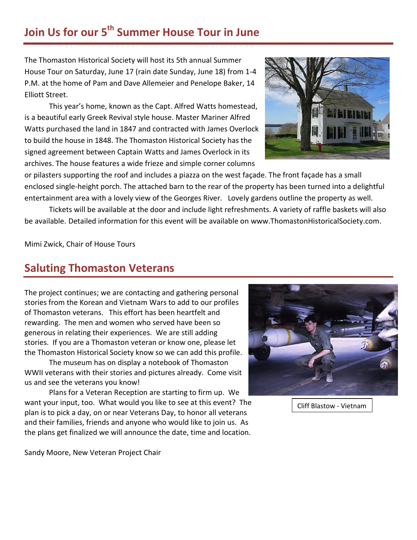#### **Join Us for our 5th Summer House Tour in June**

The Thomaston Historical Society will host its 5th annual Summer House Tour on Saturday, June 17 (rain date Sunday, June 18) from 1-4 P.M. at the home of Pam and Dave Allemeier and Penelope Baker, 14 Elliott Street.

This year's home, known as the Capt. Alfred Watts homestead, is a beautiful early Greek Revival style house. Master Mariner Alfred Watts purchased the land in 1847 and contracted with James Overlock to build the house in 1848. The Thomaston Historical Society has the signed agreement between Captain Watts and James Overlock in its archives. The house features a wide frieze and simple corner columns



or pilasters supporting the roof and includes a piazza on the west façade. The front façade has a small enclosed single-height porch. The attached barn to the rear of the property has been turned into a delightful entertainment area with a lovely view of the Georges River. Lovely gardens outline the property as well.

Tickets will be available at the door and include light refreshments. A variety of raffle baskets will also be available. Detailed information for this event will be available on [www.ThomastonHistoricalSociety.com.](http://www.thomastonhistoricalsociety.com/)

Mimi Zwick, Chair of House Tours

#### **Saluting Thomaston Veterans**

The project continues; we are contacting and gathering personal stories from the Korean and Vietnam Wars to add to our profiles of Thomaston veterans. This effort has been heartfelt and rewarding. The men and women who served have been so generous in relating their experiences. We are still adding stories. If you are a Thomaston veteran or know one, please let the Thomaston Historical Society know so we can add this profile.

The museum has on display a notebook of Thomaston WWII veterans with their stories and pictures already. Come visit us and see the veterans you know!

Plans for a Veteran Reception are starting to firm up. We want your input, too. What would you like to see at this event? The plan is to pick a day, on or near Veterans Day, to honor all veterans and their families, friends and anyone who would like to join us. As the plans get finalized we will announce the date, time and location.



Cliff Blastow - Vietnam

Sandy Moore, New Veteran Project Chair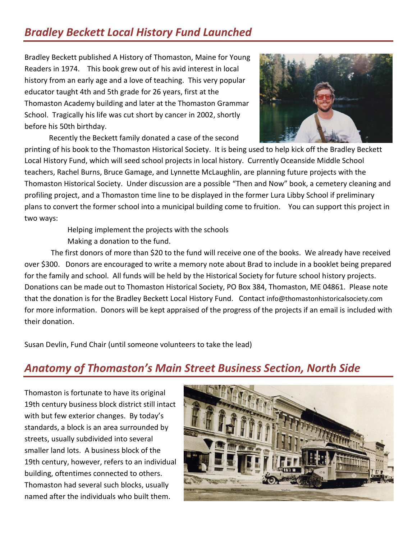### *Bradley Beckett Local History Fund Launched*

Bradley Beckett published A History of Thomaston, Maine for Young Readers in 1974. This book grew out of his avid interest in local history from an early age and a love of teaching. This very popular educator taught 4th and 5th grade for 26 years, first at the Thomaston Academy building and later at the Thomaston Grammar School. Tragically his life was cut short by cancer in 2002, shortly before his 50th birthday.

Recently the Beckett family donated a case of the second



printing of his book to the Thomaston Historical Society. It is being used to help kick off the Bradley Beckett Local History Fund, which will seed school projects in local history. Currently Oceanside Middle School teachers, Rachel Burns, Bruce Gamage, and Lynnette McLaughlin, are planning future projects with the Thomaston Historical Society. Under discussion are a possible "Then and Now" book, a cemetery cleaning and profiling project, and a Thomaston time line to be displayed in the former Lura Libby School if preliminary plans to convert the former school into a municipal building come to fruition. You can support this project in two ways:

> Helping implement the projects with the schools Making a donation to the fund.

The first donors of more than \$20 to the fund will receive one of the books. We already have received over \$300. Donors are encouraged to write a memory note about Brad to include in a booklet being prepared for the family and school. All funds will be held by the Historical Society for future school history projects. Donations can be made out to Thomaston Historical Society, PO Box 384, Thomaston, ME 04861. Please note that the donation is for the Bradley Beckett Local History Fund. Contact [info@thomastonhistoricalsociety.com](mailto:info@thomastonhistoricalsociety.com) for more information. Donors will be kept appraised of the progress of the projects if an email is included with their donation.

Susan Devlin, Fund Chair (until someone volunteers to take the lead)

#### *Anatomy of Thomaston's Main Street Business Section, North Side*

Thomaston is fortunate to have its original 19th century business block district still intact with but few exterior changes. By today's standards, a block is an area surrounded by streets, usually subdivided into several smaller land lots. A business block of the 19th century, however, refers to an individual building, oftentimes connected to others. Thomaston had several such blocks, usually named after the individuals who built them.

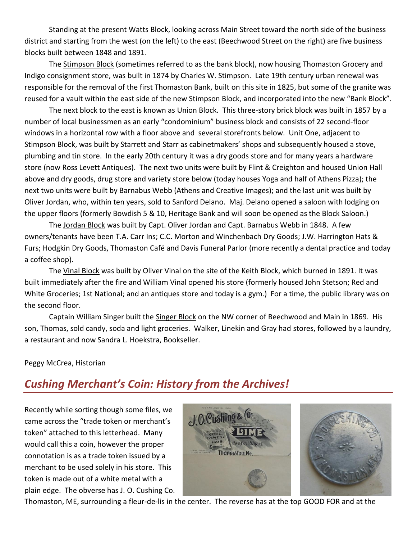Standing at the present Watts Block, looking across Main Street toward the north side of the business district and starting from the west (on the left) to the east (Beechwood Street on the right) are five business blocks built between 1848 and 1891.

The Stimpson Block (sometimes referred to as the bank block), now housing Thomaston Grocery and Indigo consignment store, was built in 1874 by Charles W. Stimpson. Late 19th century urban renewal was responsible for the removal of the first Thomaston Bank, built on this site in 1825, but some of the granite was reused for a vault within the east side of the new Stimpson Block, and incorporated into the new "Bank Block".

The next block to the east is known as Union Block. This three-story brick block was built in 1857 by a number of local businessmen as an early "condominium" business block and consists of 22 second-floor windows in a horizontal row with a floor above and several storefronts below. Unit One, adjacent to Stimpson Block, was built by Starrett and Starr as cabinetmakers' shops and subsequently housed a stove, plumbing and tin store. In the early 20th century it was a dry goods store and for many years a hardware store (now Ross Levett Antiques). The next two units were built by Flint & Creighton and housed Union Hall above and dry goods, drug store and variety store below (today houses Yoga and half of Athens Pizza); the next two units were built by Barnabus Webb (Athens and Creative Images); and the last unit was built by Oliver Jordan, who, within ten years, sold to Sanford Delano. Maj. Delano opened a saloon with lodging on the upper floors (formerly Bowdish 5 & 10, Heritage Bank and will soon be opened as the Block Saloon.)

The Jordan Block was built by Capt. Oliver Jordan and Capt. Barnabus Webb in 1848. A few owners/tenants have been T.A. Carr Ins; C.C. Morton and Winchenbach Dry Goods; J.W. Harrington Hats & Furs; Hodgkin Dry Goods, Thomaston Café and Davis Funeral Parlor (more recently a dental practice and today a coffee shop).

The Vinal Block was built by Oliver Vinal on the site of the Keith Block, which burned in 1891. It was built immediately after the fire and William Vinal opened his store (formerly housed John Stetson; Red and White Groceries; 1st National; and an antiques store and today is a gym.) For a time, the public library was on the second floor.

Captain William Singer built the Singer Block on the NW corner of Beechwood and Main in 1869. His son, Thomas, sold candy, soda and light groceries. Walker, Linekin and Gray had stores, followed by a laundry, a restaurant and now Sandra L. Hoekstra, Bookseller.

#### Peggy McCrea, Historian

#### *Cushing Merchant's Coin: History from the Archives!*

Recently while sorting though some files, we came across the "trade token or merchant's token" attached to this letterhead. Many would call this a coin, however the proper connotation is as a trade token issued by a merchant to be used solely in his store. This token is made out of a white metal with a plain edge. The obverse has J. O. Cushing Co.



Thomaston, ME, surrounding a fleur-de-lis in the center. The reverse has at the top GOOD FOR and at the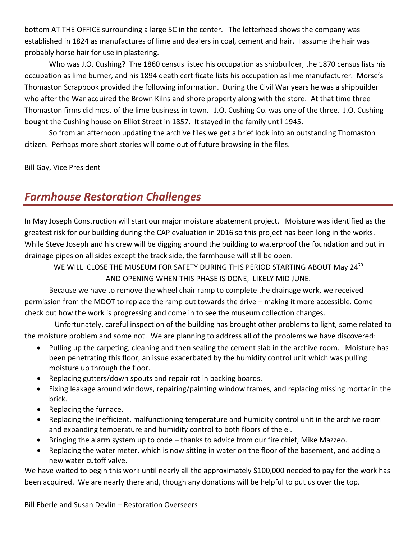bottom AT THE OFFICE surrounding a large 5C in the center. The letterhead shows the company was established in 1824 as manufactures of lime and dealers in coal, cement and hair. I assume the hair was probably horse hair for use in plastering.

Who was J.O. Cushing? The 1860 census listed his occupation as shipbuilder, the 1870 census lists his occupation as lime burner, and his 1894 death certificate lists his occupation as lime manufacturer. Morse's Thomaston Scrapbook provided the following information. During the Civil War years he was a shipbuilder who after the War acquired the Brown Kilns and shore property along with the store. At that time three Thomaston firms did most of the lime business in town. J.O. Cushing Co. was one of the three. J.O. Cushing bought the Cushing house on Elliot Street in 1857. It stayed in the family until 1945.

So from an afternoon updating the archive files we get a brief look into an outstanding Thomaston citizen. Perhaps more short stories will come out of future browsing in the files.

Bill Gay, Vice President

#### *Farmhouse Restoration Challenges*

In May Joseph Construction will start our major moisture abatement project. Moisture was identified as the greatest risk for our building during the CAP evaluation in 2016 so this project has been long in the works. While Steve Joseph and his crew will be digging around the building to waterproof the foundation and put in drainage pipes on all sides except the track side, the farmhouse will still be open.

WE WILL CLOSE THE MUSEUM FOR SAFETY DURING THIS PERIOD STARTING ABOUT May 24<sup>th</sup> AND OPENING WHEN THIS PHASE IS DONE, LIKELY MID JUNE.

Because we have to remove the wheel chair ramp to complete the drainage work, we received permission from the MDOT to replace the ramp out towards the drive – making it more accessible. Come check out how the work is progressing and come in to see the museum collection changes.

 Unfortunately, careful inspection of the building has brought other problems to light, some related to the moisture problem and some not. We are planning to address all of the problems we have discovered:

- Pulling up the carpeting, cleaning and then sealing the cement slab in the archive room. Moisture has been penetrating this floor, an issue exacerbated by the humidity control unit which was pulling moisture up through the floor.
- Replacing gutters/down spouts and repair rot in backing boards.
- Fixing leakage around windows, repairing/painting window frames, and replacing missing mortar in the brick.
- Replacing the furnace.
- Replacing the inefficient, malfunctioning temperature and humidity control unit in the archive room and expanding temperature and humidity control to both floors of the el.
- Bringing the alarm system up to code thanks to advice from our fire chief, Mike Mazzeo.
- Replacing the water meter, which is now sitting in water on the floor of the basement, and adding a new water cutoff valve.

We have waited to begin this work until nearly all the approximately \$100,000 needed to pay for the work has been acquired. We are nearly there and, though any donations will be helpful to put us over the top.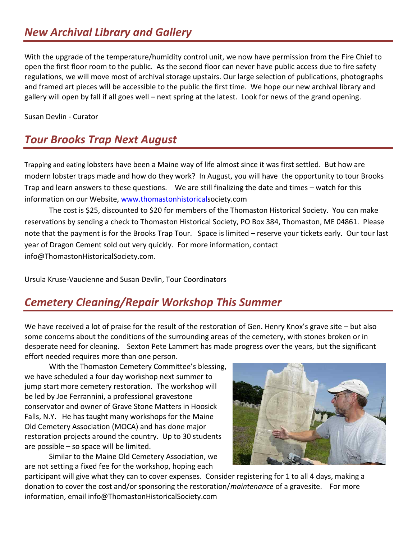#### *New Archival Library and Gallery*

With the upgrade of the temperature/humidity control unit, we now have permission from the Fire Chief to open the first floor room to the public. As the second floor can never have public access due to fire safety regulations, we will move most of archival storage upstairs. Our large selection of publications, photographs and framed art pieces will be accessible to the public the first time. We hope our new archival library and gallery will open by fall if all goes well – next spring at the latest. Look for news of the grand opening.

Susan Devlin - Curator

#### *Tour Brooks Trap Next August*

Trapping and eating lobsters have been a Maine way of life almost since it was first settled. But how are modern lobster traps made and how do they work? In August, you will have the opportunity to tour Brooks Trap and learn answers to these questions. We are still finalizing the date and times – watch for this information on our Website, [www.thomastonhistoricals](http://www.thomastonhistorical/)ociety.com

The cost is \$25, discounted to \$20 for members of the Thomaston Historical Society. You can make reservations by sending a check to Thomaston Historical Society, PO Box 384, Thomaston, ME 04861. Please note that the payment is for the Brooks Trap Tour. Space is limited – reserve your tickets early. Our tour last year of Dragon Cement sold out very quickly. For more information, contact info@ThomastonHistoricalSociety.com.

Ursula Kruse-Vaucienne and Susan Devlin, Tour Coordinators

#### *Cemetery Cleaning/Repair Workshop This Summer*

We have received a lot of praise for the result of the restoration of Gen. Henry Knox's grave site – but also some concerns about the conditions of the surrounding areas of the cemetery, with stones broken or in desperate need for cleaning. Sexton Pete Lammert has made progress over the years, but the significant effort needed requires more than one person.

With the Thomaston Cemetery Committee's blessing, we have scheduled a four day workshop next summer to jump start more cemetery restoration. The workshop will be led by Joe Ferrannini, a professional gravestone conservator and owner of Grave Stone Matters in Hoosick Falls, N.Y. He has taught many workshops for the Maine Old Cemetery Association (MOCA) and has done major restoration projects around the country. Up to 30 students are possible – so space will be limited.

Similar to the Maine Old Cemetery Association, we are not setting a fixed fee for the workshop, hoping each



participant will give what they can to cover expenses. Consider registering for 1 to all 4 days, making a donation to cover the cost and/or sponsoring the restoration/*maintenance* of a gravesite. For more information, email info@ThomastonHistoricalSociety.com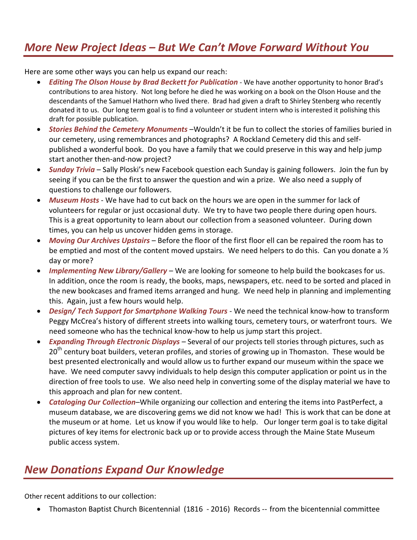#### *More New Project Ideas – But We Can't Move Forward Without You*

Here are some other ways you can help us expand our reach:

- *Editing The Olson House by Brad Beckett for Publication* We have another opportunity to honor Brad's contributions to area history. Not long before he died he was working on a book on the Olson House and the descendants of the Samuel Hathorn who lived there. Brad had given a draft to Shirley Stenberg who recently donated it to us. Our long term goal is to find a volunteer or student intern who is interested it polishing this draft for possible publication.
- *Stories Behind the Cemetery Monuments* –Wouldn't it be fun to collect the stories of families buried in our cemetery, using remembrances and photographs? A Rockland Cemetery did this and selfpublished a wonderful book. Do you have a family that we could preserve in this way and help jump start another then-and-now project?
- *Sunday Trivia*  Sally Ploski's new Facebook question each Sunday is gaining followers. Join the fun by seeing if you can be the first to answer the question and win a prize. We also need a supply of questions to challenge our followers.
- *Museum Hosts* We have had to cut back on the hours we are open in the summer for lack of volunteers for regular or just occasional duty. We try to have two people there during open hours. This is a great opportunity to learn about our collection from a seasoned volunteer. During down times, you can help us uncover hidden gems in storage.
- *Moving Our Archives Upstairs*  Before the floor of the first floor ell can be repaired the room has to be emptied and most of the content moved upstairs. We need helpers to do this. Can you donate a  $\frac{1}{2}$ day or more?
- *Implementing New Library/Gallery*  We are looking for someone to help build the bookcases for us. In addition, once the room is ready, the books, maps, newspapers, etc. need to be sorted and placed in the new bookcases and framed items arranged and hung. We need help in planning and implementing this. Again, just a few hours would help.
- *Design/ Tech Support for Smartphone Walking Tours* We need the technical know-how to transform Peggy McCrea's history of different streets into walking tours, cemetery tours, or waterfront tours. We need someone who has the technical know-how to help us jump start this project.
- *Expanding Through Electronic Displays* Several of our projects tell stories through pictures, such as 20<sup>th</sup> century boat builders, veteran profiles, and stories of growing up in Thomaston. These would be best presented electronically and would allow us to further expand our museum within the space we have. We need computer savvy individuals to help design this computer application or point us in the direction of free tools to use. We also need help in converting some of the display material we have to this approach and plan for new content.
- *Cataloging Our Collection*–While organizing our collection and entering the items into PastPerfect, a museum database, we are discovering gems we did not know we had! This is work that can be done at the museum or at home. Let us know if you would like to help. Our longer term goal is to take digital pictures of key items for electronic back up or to provide access through the Maine State Museum public access system.

#### *New Donations Expand Our Knowledge*

Other recent additions to our collection:

Thomaston Baptist Church Bicentennial (1816 - 2016) Records -- from the bicentennial committee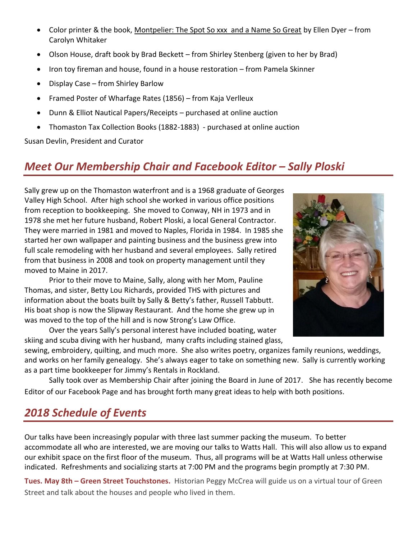- Color printer & the book, Montpelier: The Spot So xxx and a Name So Great by Ellen Dyer from Carolyn Whitaker
- Olson House, draft book by Brad Beckett from Shirley Stenberg (given to her by Brad)
- Iron toy fireman and house, found in a house restoration from Pamela Skinner
- Display Case from Shirley Barlow
- Framed Poster of Wharfage Rates (1856) from Kaja Verlleux
- Dunn & Elliot Nautical Papers/Receipts purchased at online auction
- Thomaston Tax Collection Books (1882-1883) purchased at online auction

Susan Devlin, President and Curator

#### *Meet Our Membership Chair and Facebook Editor – Sally Ploski*

Sally grew up on the Thomaston waterfront and is a 1968 graduate of Georges Valley High School. After high school she worked in various office positions from reception to bookkeeping. She moved to Conway, NH in 1973 and in 1978 she met her future husband, Robert Ploski, a local General Contractor. They were married in 1981 and moved to Naples, Florida in 1984. In 1985 she started her own wallpaper and painting business and the business grew into full scale remodeling with her husband and several employees. Sally retired from that business in 2008 and took on property management until they moved to Maine in 2017.

Prior to their move to Maine, Sally, along with her Mom, Pauline Thomas, and sister, Betty Lou Richards, provided THS with pictures and information about the boats built by Sally & Betty's father, Russell Tabbutt. His boat shop is now the Slipway Restaurant. And the home she grew up in was moved to the top of the hill and is now Strong's Law Office.

Over the years Sally's personal interest have included boating, water skiing and scuba diving with her husband, many crafts including stained glass,

sewing, embroidery, quilting, and much more. She also writes poetry, organizes family reunions, weddings, and works on her family genealogy. She's always eager to take on something new. Sally is currently working as a part time bookkeeper for Jimmy's Rentals in Rockland.

Sally took over as Membership Chair after joining the Board in June of 2017. She has recently become Editor of our Facebook Page and has brought forth many great ideas to help with both positions.

#### *2018 Schedule of Events*

Our talks have been increasingly popular with three last summer packing the museum. To better accommodate all who are interested, we are moving our talks to Watts Hall. This will also allow us to expand our exhibit space on the first floor of the museum. Thus, all programs will be at Watts Hall unless otherwise indicated. Refreshments and socializing starts at 7:00 PM and the programs begin promptly at 7:30 PM.

**Tues. May 8th – Green Street Touchstones.** Historian Peggy McCrea will guide us on a virtual tour of Green Street and talk about the houses and people who lived in them.

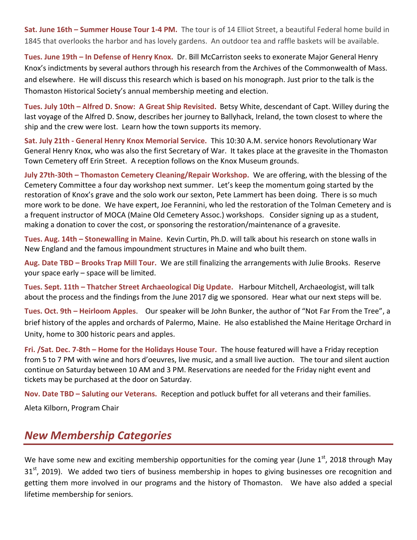**Sat. June 16th – Summer House Tour 1-4 PM.** The tour is of 14 Elliot Street, a beautiful Federal home build in 1845 that overlooks the harbor and has lovely gardens. An outdoor tea and raffle baskets will be available.

**Tues. June 19th – In Defense of Henry Knox.** Dr. Bill McCarriston seeks to exonerate Major General Henry Knox's indictments by several authors through his research from the Archives of the Commonwealth of Mass. and elsewhere. He will discuss this research which is based on his monograph. Just prior to the talk is the Thomaston Historical Society's annual membership meeting and election.

**Tues. July 10th – Alfred D. Snow: A Great Ship Revisited.** Betsy White, descendant of Capt. Willey during the last voyage of the Alfred D. Snow, describes her journey to Ballyhack, Ireland, the town closest to where the ship and the crew were lost. Learn how the town supports its memory.

**Sat. July 21th - General Henry Knox Memorial Service.** This 10:30 A.M. service honors Revolutionary War General Henry Knox, who was also the first Secretary of War. It takes place at the gravesite in the Thomaston Town Cemetery off Erin Street. A reception follows on the Knox Museum grounds.

**July 27th-30th – Thomaston Cemetery Cleaning/Repair Workshop.** We are offering, with the blessing of the Cemetery Committee a four day workshop next summer. Let's keep the momentum going started by the restoration of Knox's grave and the solo work our sexton, Pete Lammert has been doing. There is so much more work to be done. We have expert, Joe Ferannini, who led the restoration of the Tolman Cemetery and is a frequent instructor of MOCA (Maine Old Cemetery Assoc.) workshops. Consider signing up as a student, making a donation to cover the cost, or sponsoring the restoration/maintenance of a gravesite.

**Tues. Aug. 14th – Stonewalling in Maine**. Kevin Curtin, Ph.D. will talk about his research on stone walls in New England and the famous impoundment structures in Maine and who built them.

**Aug. Date TBD – Brooks Trap Mill Tour.** We are still finalizing the arrangements with Julie Brooks. Reserve your space early – space will be limited.

**Tues. Sept. 11th – Thatcher Street Archaeological Dig Update.** Harbour Mitchell, Archaeologist, will talk about the process and the findings from the June 2017 dig we sponsored. Hear what our next steps will be.

**Tues. Oct. 9th – Heirloom Apples**. Our speaker will be John Bunker, the author of "Not Far From the Tree", a brief history of the apples and orchards of Palermo, Maine. He also established the Maine Heritage Orchard in Unity, home to 300 historic pears and apples.

**Fri. /Sat. Dec. 7-8th – Home for the Holidays House Tour.** The house featured will have a Friday reception from 5 to 7 PM with wine and hors d'oeuvres, live music, and a small live auction. The tour and silent auction continue on Saturday between 10 AM and 3 PM. Reservations are needed for the Friday night event and tickets may be purchased at the door on Saturday.

**Nov. Date TBD – Saluting our Veterans.** Reception and potluck buffet for all veterans and their families.

Aleta Kilborn, Program Chair

#### *New Membership Categories*

We have some new and exciting membership opportunities for the coming year (June  $1<sup>st</sup>$ , 2018 through May 31<sup>st</sup>, 2019). We added two tiers of business membership in hopes to giving businesses ore recognition and getting them more involved in our programs and the history of Thomaston. We have also added a special lifetime membership for seniors.